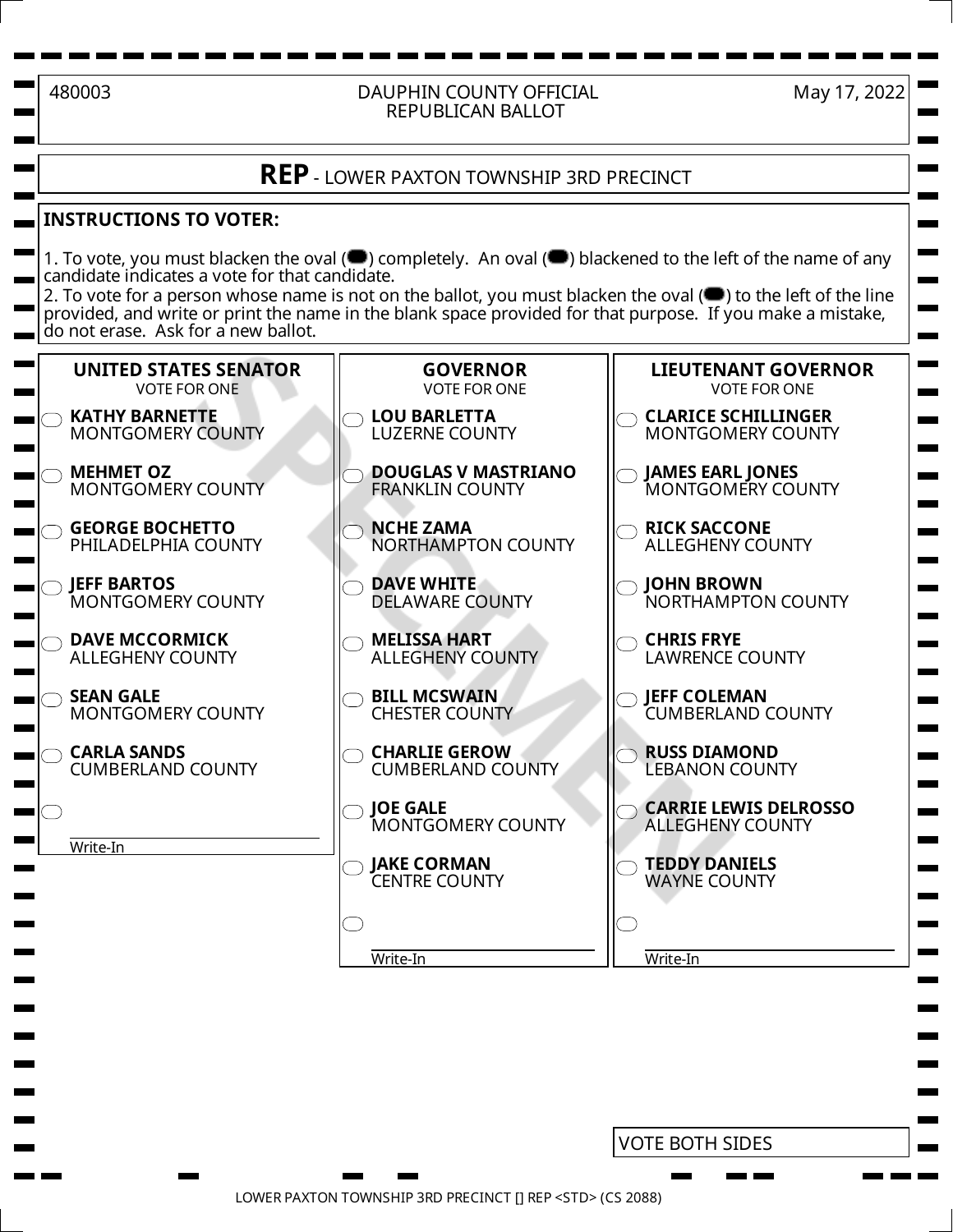## 480003 DAUPHIN COUNTY OFFICIAL REPUBLICAN BALLOT

May 17, 2022

## **REP**- LOWER PAXTON TOWNSHIP 3RD PRECINCT

## **INSTRUCTIONS TO VOTER:**

1. To vote, you must blacken the oval ( $\blacksquare$ ) completely. An oval ( $\blacksquare$ ) blackened to the left of the name of any candidate indicates a vote for that candidate.

2. To vote for a person whose name is not on the ballot, you must blacken the oval  $($ **)** to the left of the line provided, and write or print the name in the blank space provided for that purpose. If you make a mistake, do not erase. Ask for a new ballot.



VOTE BOTH SIDES